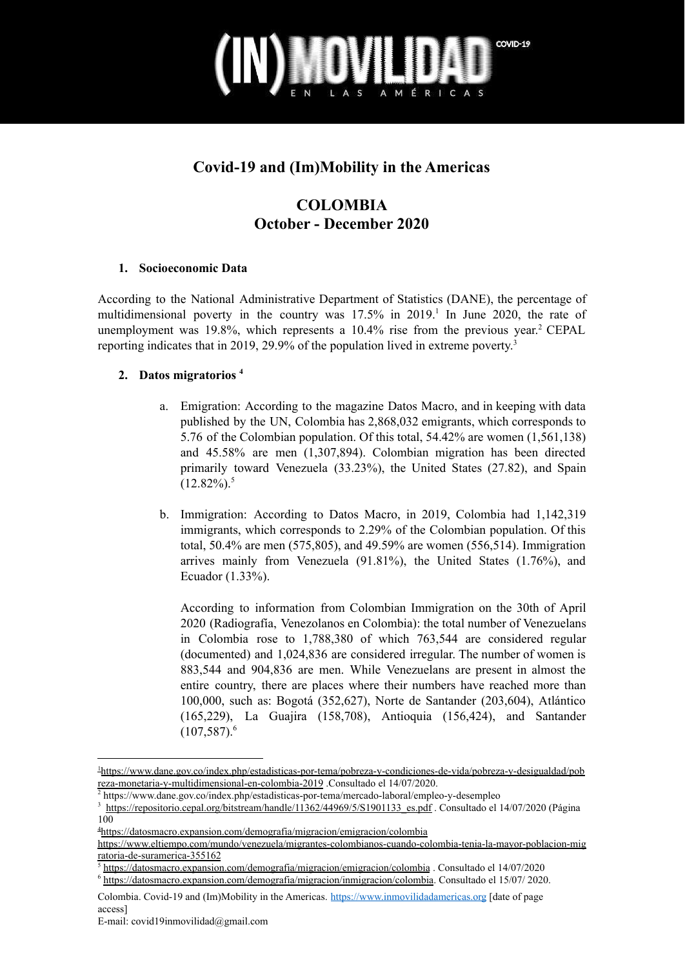

## **Covid-19 and (Im)Mobility in the Americas**

## **COLOMBIA October - December 2020**

#### **1. Socioeconomic Data**

According to the National Administrative Department of Statistics (DANE), the percentage of multidimensional poverty in the country was  $17.5\%$  in  $2019$ .<sup>1</sup> In June 2020, the rate of unemployment was 19.8%, which represents a  $10.4\%$  rise from the previous year.<sup>2</sup> CEPAL reporting indicates that in 2019, 29.9% of the population lived in extreme poverty. 3

#### **2. Datos migratorios 4**

- a. Emigration: According to the magazine Datos Macro, and in keeping with data published by the UN, Colombia has 2,868,032 emigrants, which corresponds to 5.76 of the Colombian population. Of this total, 54.42% are women (1,561,138) and 45.58% are men (1,307,894). Colombian migration has been directed primarily toward Venezuela (33.23%), the United States (27.82), and Spain  $(12.82\%)$ <sup>5</sup>
- b. Immigration: According to Datos Macro, in 2019, Colombia had 1,142,319 immigrants, which corresponds to 2.29% of the Colombian population. Of this total, 50.4% are men (575,805), and 49.59% are women (556,514). Immigration arrives mainly from Venezuela (91.81%), the United States (1.76%), and Ecuador (1.33%).

According to information from Colombian Immigration on the 30th of April 2020 (Radiografía, Venezolanos en Colombia): the total number of Venezuelans in Colombia rose to 1,788,380 of which 763,544 are considered regular (documented) and 1,024,836 are considered irregular. The number of women is 883,544 and 904,836 are men. While Venezuelans are present in almost the entire country, there are places where their numbers have reached more than 100,000, such as: Bogotá (352,627), Norte de Santander (203,604), Atlántico (165,229), La Guajira (158,708), Antioquia (156,424), and Santander  $(107,587)$ <sup>6</sup>

<sup>1</sup>[https://www.dane.gov.co/index.php/estadisticas-por-tema/pobreza-y-condiciones-de-vida/pobreza-y-desigualdad/pob](https://www.dane.gov.co/index.php/estadisticas-por-tema/pobreza-y-condiciones-de-vida/pobreza-y-desigualdad/pobreza-monetaria-y-multidimensional-en-colombia-2019) [reza-monetaria-y-multidimensional-en-colombia-2019](https://www.dane.gov.co/index.php/estadisticas-por-tema/pobreza-y-condiciones-de-vida/pobreza-y-desigualdad/pobreza-monetaria-y-multidimensional-en-colombia-2019) .Consultado el 14/07/2020.

<sup>2</sup> https://www.dane.gov.co/index.php/estadisticas-por-tema/mercado-laboral/empleo-y-desempleo

<sup>&</sup>lt;sup>3</sup> [https://repositorio.cepal.org/bitstream/handle/11362/44969/5/S1901133\\_es.pdf](https://repositorio.cepal.org/bitstream/handle/11362/44969/5/S1901133_es.pdf) . Consultado el 14/07/2020 (Página 100

<sup>4</sup><https://datosmacro.expansion.com/demografia/migracion/emigracion/colombia>

[https://www.eltiempo.com/mundo/venezuela/migrantes-colombianos-cuando-colombia-tenia-la-mayor-poblacion-mig](https://www.eltiempo.com/mundo/venezuela/migrantes-colombianos-cuando-colombia-tenia-la-mayor-poblacion-migratoria-de-suramerica-355162) [ratoria-de-suramerica-355162](https://www.eltiempo.com/mundo/venezuela/migrantes-colombianos-cuando-colombia-tenia-la-mayor-poblacion-migratoria-de-suramerica-355162)

<sup>5</sup> <https://datosmacro.expansion.com/demografia/migracion/emigracion/colombia> . Consultado el 14/07/2020

<sup>6</sup> <https://datosmacro.expansion.com/demografia/migracion/inmigracion/colombia>. Consultado el 15/07/ 2020.

Colombia. Covid-19 and (Im)Mobility in the Americas. <https://www.inmovilidadamericas.org> [date of page access]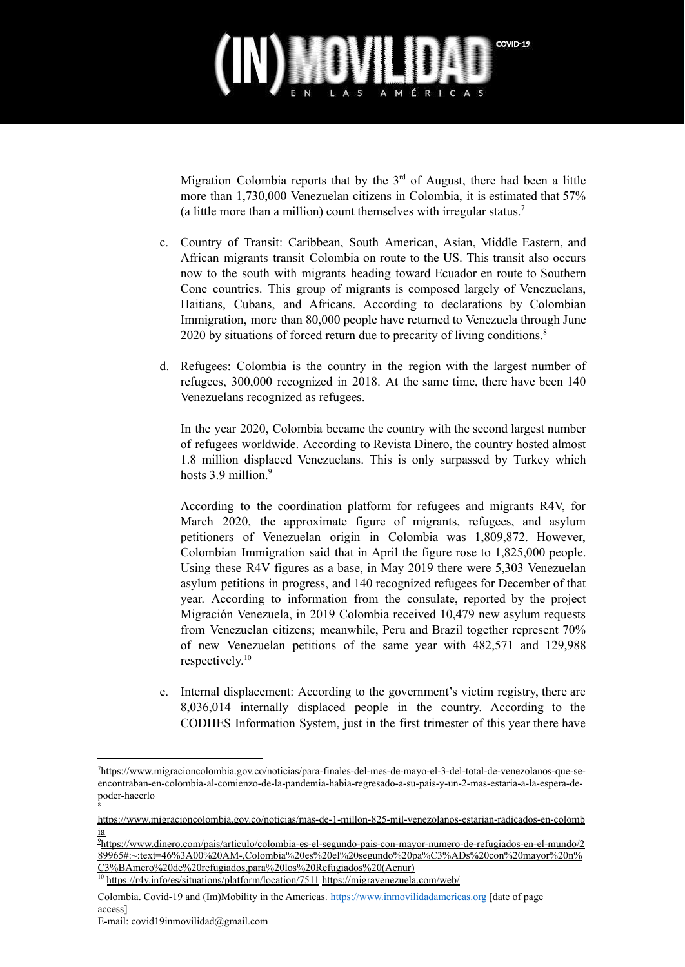

Migration Colombia reports that by the  $3<sup>rd</sup>$  of August, there had been a little more than 1,730,000 Venezuelan citizens in Colombia, it is estimated that 57% (a little more than a million) count themselves with irregular status. 7

- c. Country of Transit: Caribbean, South American, Asian, Middle Eastern, and African migrants transit Colombia on route to the US. This transit also occurs now to the south with migrants heading toward Ecuador en route to Southern Cone countries. This group of migrants is composed largely of Venezuelans, Haitians, Cubans, and Africans. According to declarations by Colombian Immigration, more than 80,000 people have returned to Venezuela through June 2020 by situations of forced return due to precarity of living conditions. 8
- d. Refugees: Colombia is the country in the region with the largest number of refugees, 300,000 recognized in 2018. At the same time, there have been 140 Venezuelans recognized as refugees.

In the year 2020, Colombia became the country with the second largest number of refugees worldwide. According to Revista Dinero, the country hosted almost 1.8 million displaced Venezuelans. This is only surpassed by Turkey which hosts 3.9 million.<sup>9</sup>

According to the coordination platform for refugees and migrants R4V, for March 2020, the approximate figure of migrants, refugees, and asylum petitioners of Venezuelan origin in Colombia was 1,809,872. However, Colombian Immigration said that in April the figure rose to 1,825,000 people. Using these R4V figures as a base, in May 2019 there were 5,303 Venezuelan asylum petitions in progress, and 140 recognized refugees for December of that year. According to information from the consulate, reported by the project Migración Venezuela, in 2019 Colombia received 10,479 new asylum requests from Venezuelan citizens; meanwhile, Peru and Brazil together represent 70% of new Venezuelan petitions of the same year with 482,571 and 129,988 respectively. 10

e. Internal displacement: According to the government's victim registry, there are 8,036,014 internally displaced people in the country. According to the CODHES Information System, just in the first trimester of this year there have

<sup>8</sup> 7https://www.migracioncolombia.gov.co/noticias/para-finales-del-mes-de-mayo-el-3-del-total-de-venezolanos-que-seencontraban-en-colombia-al-comienzo-de-la-pandemia-habia-regresado-a-su-pais-y-un-2-mas-estaria-a-la-espera-depoder-hacerlo

[https://www.migracioncolombia.gov.co/noticias/mas-de-1-millon-825-mil-venezolanos-estarian-radicados-en-colomb](https://www.migracioncolombia.gov.co/noticias/mas-de-1-millon-825-mil-venezolanos-estarian-radicados-en-colombia) [ia](https://www.migracioncolombia.gov.co/noticias/mas-de-1-millon-825-mil-venezolanos-estarian-radicados-en-colombia)

<sup>9</sup>[https://www.dinero.com/pais/articulo/colombia-es-el-segundo-pais-con-mayor-numero-de-refugiados-en-el-mundo/2](https://www.dinero.com/pais/articulo/colombia-es-el-segundo-pais-con-mayor-numero-de-refugiados-en-el-mundo/289965#:~:text=46%3A00%20AM-,Colombia%20es%20el%20segundo%20pa%C3%ADs%20con%20mayor%20n%C3%BAmero%20de%20refugiados,para%20los%20Refugiados%20(Acnur).) [89965#:~:text=46%3A00%20AM-,Colombia%20es%20el%20segundo%20pa%C3%ADs%20con%20mayor%20n%](https://www.dinero.com/pais/articulo/colombia-es-el-segundo-pais-con-mayor-numero-de-refugiados-en-el-mundo/289965#:~:text=46%3A00%20AM-,Colombia%20es%20el%20segundo%20pa%C3%ADs%20con%20mayor%20n%C3%BAmero%20de%20refugiados,para%20los%20Refugiados%20(Acnur).) [C3%BAmero%20de%20refugiados,para%20los%20Refugiados%20\(Acnur\)](https://www.dinero.com/pais/articulo/colombia-es-el-segundo-pais-con-mayor-numero-de-refugiados-en-el-mundo/289965#:~:text=46%3A00%20AM-,Colombia%20es%20el%20segundo%20pa%C3%ADs%20con%20mayor%20n%C3%BAmero%20de%20refugiados,para%20los%20Refugiados%20(Acnur).)

<sup>&</sup>lt;sup>10</sup> <https://r4v.info/es/situations/platform/location/7511> <https://migravenezuela.com/web/>

Colombia. Covid-19 and (Im)Mobility in the Americas. <https://www.inmovilidadamericas.org> [date of page access]

E-mail: covid19inmovilidad@gmail.com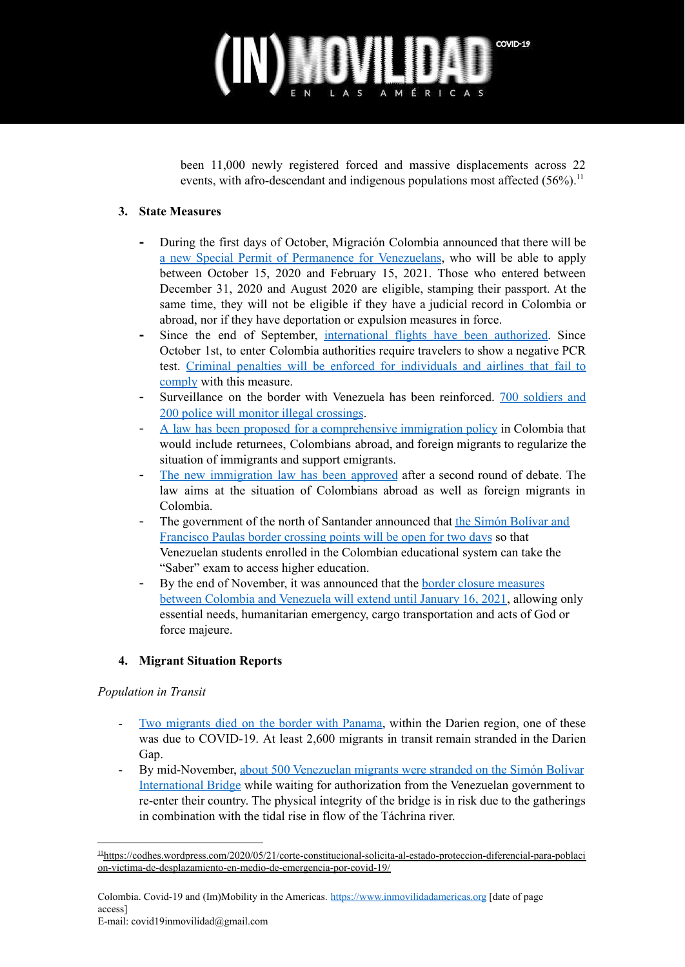# COVID-19 TO ITALIA

been 11,000 newly registered forced and massive displacements across 22 events, with afro-descendant and indigenous populations most affected (56%).<sup>11</sup>

### **3. State Measures**

- **-** During the first days of October, Migración Colombia announced that there will be a new Special Permit of Permanence for [Venezuelans](https://www.elespectador.com/noticias/el-mundo/migracion-colombia-anuncia-nuevo-permiso-especial-de-permanencia-para-venezolanos/), who will be able to apply between October 15, 2020 and February 15, 2021. Those who entered between December 31, 2020 and August 2020 are eligible, stamping their passport. At the same time, they will not be eligible if they have a judicial record in Colombia or abroad, nor if they have deportation or expulsion measures in force.
- Since the end of September, [international](https://www.elespectador.com/noticias/economia/migracion-colombia-nego-el-acceso-al-pais-a-70-extranjeros-por-incumplir-requisitos/) flights have been authorized. Since October 1st, to enter Colombia authorities require travelers to show a negative PCR test. Criminal penalties will be enforced for [individuals](https://www.elespectador.com/noticias/el-mundo/migracion-colombia-podria-denunciar-a-pasajeros-que-llegaron-con-covid-19/) and airlines that fail to [comply](https://www.elespectador.com/noticias/el-mundo/migracion-colombia-podria-denunciar-a-pasajeros-que-llegaron-con-covid-19/) with this measure.
- Surveillance on the border with Venezuela has been reinforced. 700 [soldiers](https://www.eltiempo.com/colombia/otras-ciudades/migracion-de-venezolanos-refuerzan-las-fronteras-para-evitar-los-pasos-ilegales-543487) and 200 police will monitor illegal [crossings](https://www.eltiempo.com/colombia/otras-ciudades/migracion-de-venezolanos-refuerzan-las-fronteras-para-evitar-los-pasos-ilegales-543487).
- A law has been proposed for a [comprehensive](https://www.eltiempo.com/politica/congreso/proyecto-de-ley-para-que-colombia-tenga-una-politica-integral-migratoria-545839) immigration policy in Colombia that would include returnees, Colombians abroad, and foreign migrants to regularize the situation of immigrants and support emigrants.
- The new [immigration](https://www.eltiempo.com/politica/congreso/proyecto-de-ley-para-que-colombia-tenga-una-politica-integral-migratoria-545839) law has been approved after a second round of debate. The law aims at the situation of Colombians abroad as well as foreign migrants in Colombia.
- The government of the north of Santander announced that the Simón [Bolívar](https://www.eltiempo.com/colombia/otras-ciudades/frontera-con-venezuela-habilitan-corredor-estudiantil-en-cucuta-548926) and [Francisco](https://www.eltiempo.com/colombia/otras-ciudades/frontera-con-venezuela-habilitan-corredor-estudiantil-en-cucuta-548926) Paulas border crossing points will be open for two days so that Venezuelan students enrolled in the Colombian educational system can take the "Saber" exam to access higher education.
- By the end of November, it was announced that the border closure [measures](https://www.elcolombiano.com/colombia/colombia-mantiene-cierre-de-fronteras-por-emergencia-sanitaria-hasta-enero-de-2021-AD14172244) between Colombia and [Venezuela](https://www.elcolombiano.com/colombia/colombia-mantiene-cierre-de-fronteras-por-emergencia-sanitaria-hasta-enero-de-2021-AD14172244) will extend until January 16, 2021, allowing only essential needs, humanitarian emergency, cargo transportation and acts of God or force majeure.

### **4. Migrant Situation Reports**

#### *Population in Transit*

- Two [migrants](https://www.elespectador.com/noticias/nacional/mueren-dos-migrantes-en-la-frontera-de-panama-con-colombia/) died on the border with Panama, within the Darien region, one of these was due to COVID-19. At least 2,600 migrants in transit remain stranded in the Darien Gap.
- By mid-November, about 500 [Venezuelan](https://www.elcolombiano.com/colombia/venezolanos-intentan-regresar-a-su-pais-por-la-frontera-en-cucuta-FE14103565) migrants were stranded on the Simón Bolívar [International](https://www.elcolombiano.com/colombia/venezolanos-intentan-regresar-a-su-pais-por-la-frontera-en-cucuta-FE14103565) Bridge while waiting for authorization from the Venezuelan government to re-enter their country. The physical integrity of the bridge is in risk due to the gatherings in combination with the tidal rise in flow of the Táchrina river.

<sup>11</sup>[https://codhes.wordpress.com/2020/05/21/corte-constitucional-solicita-al-estado-proteccion-diferencial-para-poblaci](https://codhes.wordpress.com/2020/05/21/corte-constitucional-solicita-al-estado-proteccion-diferencial-para-poblacion-victima-de-desplazamiento-en-medio-de-emergencia-por-covid-19/) [on-victima-de-desplazamiento-en-medio-de-emergencia-por-covid-19/](https://codhes.wordpress.com/2020/05/21/corte-constitucional-solicita-al-estado-proteccion-diferencial-para-poblacion-victima-de-desplazamiento-en-medio-de-emergencia-por-covid-19/)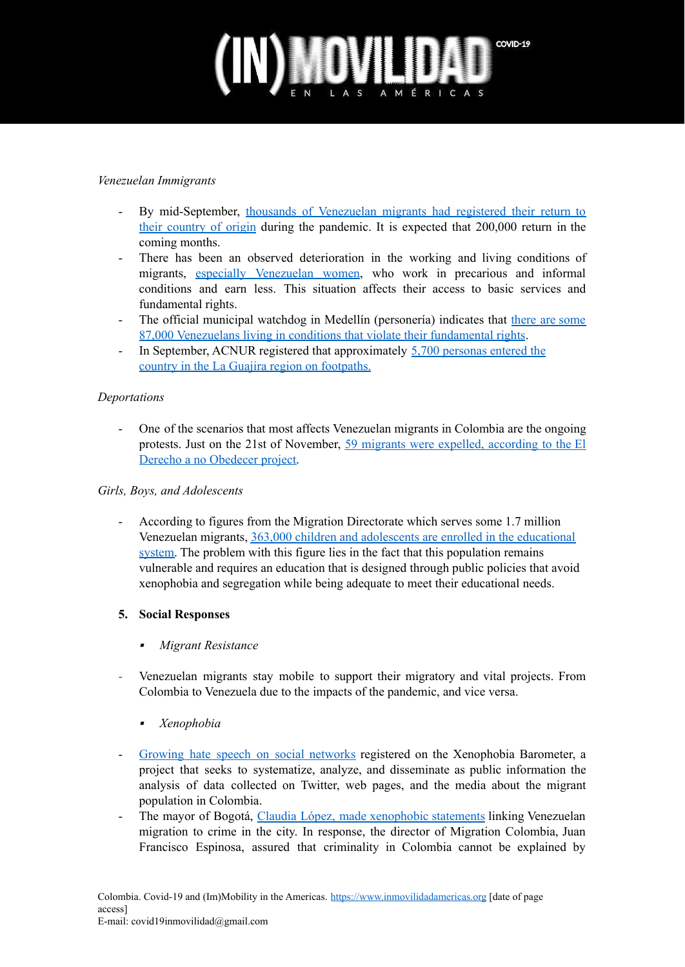# COVID-19

#### *Venezuelan Immigrants*

- By mid-September, thousands of [Venezuelan](https://www.eltiempo.com/politica/gobierno/asi-seria-la-nueva-llegada-de-venezolanos-a-colombia-538482) migrants had registered their return to their [country](https://www.eltiempo.com/politica/gobierno/asi-seria-la-nueva-llegada-de-venezolanos-a-colombia-538482) of origin during the pandemic. It is expected that 200,000 return in the coming months.
- There has been an observed deterioration in the working and living conditions of migrants, especially [Venezuelan](https://www.eltiempo.com/economia/sectores/situacion-laboral-de-las-mujeres-migrantes-de-venezuela-es-precaria-en-colombia-550863) women, who work in precarious and informal conditions and earn less. This situation affects their access to basic services and fundamental rights.
- The official municipal watchdog in Medellín (personería) indicates that there are [some](https://www.elcolombiano.com/antioquia/personeria-de-medellin-hablo-sobre-situacion-de-migrantes-poblacion-lgtbiq-y-presos-BL13810436) 87,000 [Venezuelans](https://www.elcolombiano.com/antioquia/personeria-de-medellin-hablo-sobre-situacion-de-migrantes-poblacion-lgtbiq-y-presos-BL13810436) living in conditions that violate their fundamental rights.
- In September, ACNUR registered that approximately  $5,700$  [personas](https://www.elespectador.com/noticias/nacional/la-guajira-atraviesa-ola-migratoria-durante-la-pandemia/) entered the country in the La Guajira region on [footpaths.](https://www.elespectador.com/noticias/nacional/la-guajira-atraviesa-ola-migratoria-durante-la-pandemia/)

#### *Deportations*

- One of the scenarios that most affects Venezuelan migrants in Colombia are the ongoing protests. Just on the 21st of November, 59 migrants were expelled, [according](https://www.elespectador.com/noticias/el-mundo/protestas-en-colombia-un-problema-para-los-migrantes-venezolanos/) to the El Derecho a no [Obedecer](https://www.elespectador.com/noticias/el-mundo/protestas-en-colombia-un-problema-para-los-migrantes-venezolanos/) project.

#### *Girls, Boys, and Adolescents*

- According to figures from the Migration Directorate which serves some 1.7 million Venezuelan migrants, 363,000 children and [adolescents](https://www.elcolombiano.com/internacional/eeuu/visita-a-colombia-de-juan-gonzalez-asesor-de-joe-biden-para-latinoamerica-NM14900519) are enrolled in the educational [system.](https://www.elcolombiano.com/internacional/eeuu/visita-a-colombia-de-juan-gonzalez-asesor-de-joe-biden-para-latinoamerica-NM14900519) The problem with this figure lies in the fact that this population remains vulnerable and requires an education that is designed through public policies that avoid xenophobia and segregation while being adequate to meet their educational needs.

#### **5. Social Responses**

- ▪*Migrant Resistance*
- Venezuelan migrants stay mobile to support their migratory and vital projects. From Colombia to Venezuela due to the impacts of the pandemic, and vice versa.
	- ▪*Xenophobia*
- Growing hate speech on social [networks](https://www.elespectador.com/noticias/el-mundo/asi-se-mueve-la-xenofobia-contra-los-migrantes-venezolanos-en-redes/) registered on the Xenophobia Barometer, a project that seeks to systematize, analyze, and disseminate as public information the analysis of data collected on Twitter, web pages, and the media about the migrant population in Colombia.
- The mayor of Bogotá, Claudia López, made [xenophobic](https://www.elcolombiano.com/colombia/politica/bogota-es-la-ciudad-con-mas-migrantes-venezolanos-JN13961686) statements linking Venezuelan migration to crime in the city. In response, the director of Migration Colombia, Juan Francisco Espinosa, assured that criminality in Colombia cannot be explained by